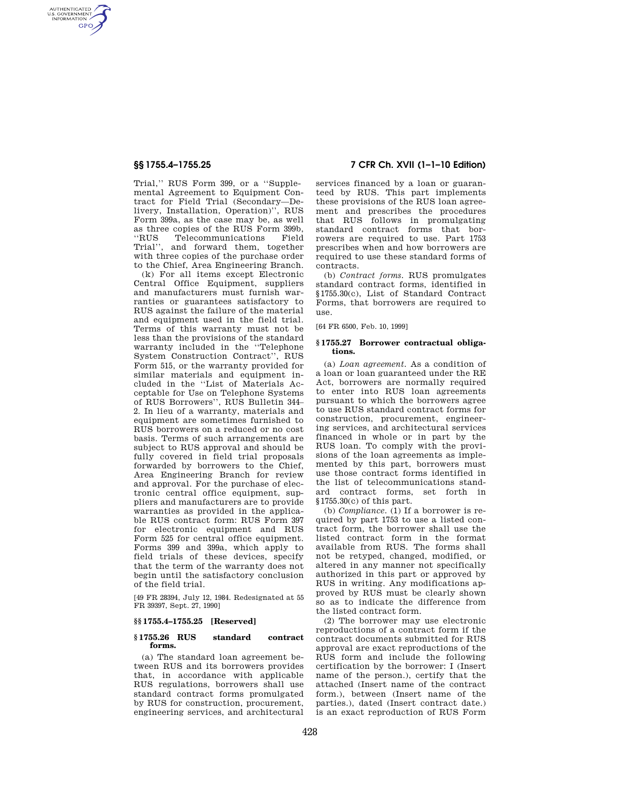AUTHENTICATED<br>U.S. GOVERNMENT<br>INFORMATION **GPO** 

> Trial,'' RUS Form 399, or a ''Supplemental Agreement to Equipment Contract for Field Trial (Secondary—Delivery, Installation, Operation)'', RUS Form 399a, as the case may be, as well as three copies of the RUS Form 399b,<br>"RUS Telecommunications Field" "RUS Telecommunications<br>Trial" and forward them and forward them, together with three copies of the purchase order to the Chief, Area Engineering Branch.

(k) For all items except Electronic Central Office Equipment, suppliers and manufacturers must furnish warranties or guarantees satisfactory to RUS against the failure of the material and equipment used in the field trial. Terms of this warranty must not be less than the provisions of the standard warranty included in the ''Telephone System Construction Contract'', RUS Form 515, or the warranty provided for similar materials and equipment included in the ''List of Materials Acceptable for Use on Telephone Systems of RUS Borrowers'', RUS Bulletin 344– 2. In lieu of a warranty, materials and equipment are sometimes furnished to RUS borrowers on a reduced or no cost basis. Terms of such arrangements are subject to RUS approval and should be fully covered in field trial proposals forwarded by borrowers to the Chief, Area Engineering Branch for review and approval. For the purchase of electronic central office equipment, suppliers and manufacturers are to provide warranties as provided in the applicable RUS contract form: RUS Form 397 for electronic equipment and RUS Form 525 for central office equipment. Forms 399 and 399a, which apply to field trials of these devices, specify that the term of the warranty does not begin until the satisfactory conclusion of the field trial.

[49 FR 28394, July 12, 1984. Redesignated at 55 FR 39397, Sept. 27, 1990]

### **§§ 1755.4–1755.25 [Reserved]**

# **§ 1755.26 RUS standard contract forms.**

(a) The standard loan agreement between RUS and its borrowers provides that, in accordance with applicable RUS regulations, borrowers shall use standard contract forms promulgated by RUS for construction, procurement, engineering services, and architectural

# **§§ 1755.4–1755.25 7 CFR Ch. XVII (1–1–10 Edition)**

services financed by a loan or guaranteed by RUS. This part implements these provisions of the RUS loan agreement and prescribes the procedures that RUS follows in promulgating standard contract forms that borrowers are required to use. Part 1753 prescribes when and how borrowers are required to use these standard forms of contracts.

(b) *Contract forms.* RUS promulgates standard contract forms, identified in §1755.30(c), List of Standard Contract Forms, that borrowers are required to use.

[64 FR 6500, Feb. 10, 1999]

# **§ 1755.27 Borrower contractual obligations.**

(a) *Loan agreement.* As a condition of a loan or loan guaranteed under the RE Act, borrowers are normally required to enter into RUS loan agreements pursuant to which the borrowers agree to use RUS standard contract forms for construction, procurement, engineering services, and architectural services financed in whole or in part by the RUS loan. To comply with the provisions of the loan agreements as implemented by this part, borrowers must use those contract forms identified in the list of telecommunications standard contract forms, set forth in §1755.30(c) of this part.

(b) *Compliance.* (1) If a borrower is required by part 1753 to use a listed contract form, the borrower shall use the listed contract form in the format available from RUS. The forms shall not be retyped, changed, modified, or altered in any manner not specifically authorized in this part or approved by RUS in writing. Any modifications approved by RUS must be clearly shown so as to indicate the difference from the listed contract form.

(2) The borrower may use electronic reproductions of a contract form if the contract documents submitted for RUS approval are exact reproductions of the RUS form and include the following certification by the borrower: I (Insert name of the person.), certify that the attached (Insert name of the contract form.), between (Insert name of the parties.), dated (Insert contract date.) is an exact reproduction of RUS Form